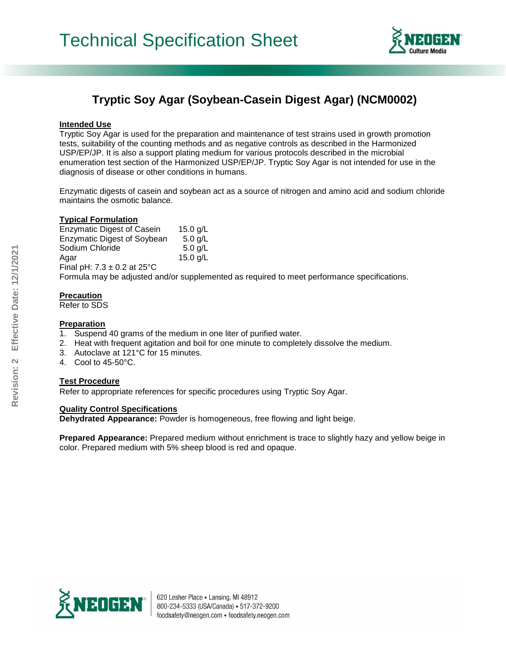

# **Tryptic Soy Agar (Soybean-Casein Digest Agar) (NCM0002)**

#### **Intended Use**

Tryptic Soy Agar is used for the preparation and maintenance of test strains used in growth promotion tests, suitability of the counting methods and as negative controls as described in the Harmonized USP/EP/JP. It is also a support plating medium for various protocols described in the microbial enumeration test section of the Harmonized USP/EP/JP. Tryptic Soy Agar is not intended for use in the diagnosis of disease or other conditions in humans.

Enzymatic digests of casein and soybean act as a source of nitrogen and amino acid and sodium chloride maintains the osmotic balance.

#### **Typical Formulation**

Enzymatic Digest of Casein 15.0 g/L Enzymatic Digest of Soybean 5.0 g/L Sodium Chloride 5.0 g/L Agar 15.0 g/L Final pH:  $7.3 \pm 0.2$  at  $25^{\circ}$ C

Formula may be adjusted and/or supplemented as required to meet performance specifications.

#### **Precaution**

Refer to SDS

#### **Preparation**

- 1. Suspend 40 grams of the medium in one liter of purified water.
- 2. Heat with frequent agitation and boil for one minute to completely dissolve the medium.
- 3. Autoclave at 121°C for 15 minutes.
- 4. Cool to 45-50°C.

## **Test Procedure**

Refer to appropriate references for specific procedures using Tryptic Soy Agar.

### **Quality Control Specifications**

**Dehydrated Appearance:** Powder is homogeneous, free flowing and light beige.

**Prepared Appearance:** Prepared medium without enrichment is trace to slightly hazy and yellow beige in color. Prepared medium with 5% sheep blood is red and opaque.

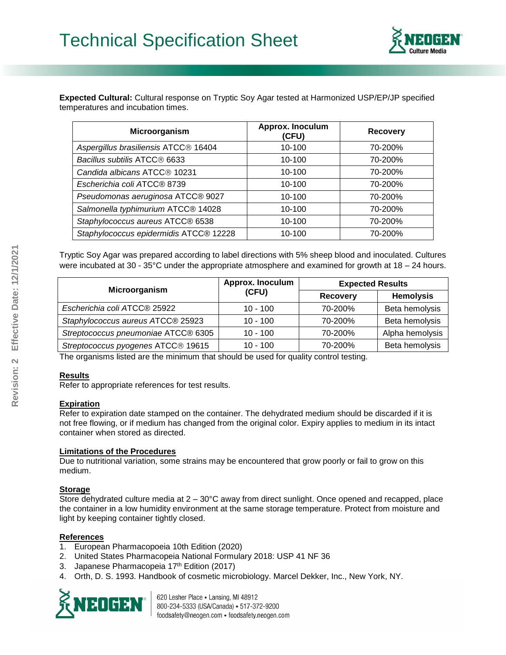

**Expected Cultural:** Cultural response on Tryptic Soy Agar tested at Harmonized USP/EP/JP specified temperatures and incubation times.

| Microorganism                            | Approx. Inoculum<br>(CFU) | <b>Recovery</b> |
|------------------------------------------|---------------------------|-----------------|
| Aspergillus brasiliensis ATCC® 16404     | 10-100                    | 70-200%         |
| Bacillus subtilis ATCC® 6633             | 10-100                    | 70-200%         |
| Candida albicans ATCC <sup>®</sup> 10231 | 10-100                    | 70-200%         |
| Escherichia coli ATCC® 8739              | 10-100                    | 70-200%         |
| Pseudomonas aeruginosa ATCC® 9027        | 10-100                    | 70-200%         |
| Salmonella typhimurium ATCC® 14028       | 10-100                    | 70-200%         |
| Staphylococcus aureus ATCC® 6538         | 10-100                    | 70-200%         |
| Staphylococcus epidermidis ATCC® 12228   | 10-100                    | 70-200%         |

Tryptic Soy Agar was prepared according to label directions with 5% sheep blood and inoculated. Cultures were incubated at 30 - 35°C under the appropriate atmosphere and examined for growth at 18 – 24 hours.

| Microorganism                       | Approx. Inoculum | <b>Expected Results</b> |                  |
|-------------------------------------|------------------|-------------------------|------------------|
|                                     | (CFU)            | <b>Recovery</b>         | <b>Hemolysis</b> |
| Escherichia coli ATCC® 25922        | $10 - 100$       | 70-200%                 | Beta hemolysis   |
| Staphylococcus aureus ATCC® 25923   | $10 - 100$       | 70-200%                 | Beta hemolysis   |
| Streptococcus pneumoniae ATCC® 6305 | $10 - 100$       | 70-200%                 | Alpha hemolysis  |
| Streptococcus pyogenes ATCC® 19615  | $10 - 100$       | 70-200%                 | Beta hemolysis   |

The organisms listed are the minimum that should be used for quality control testing.

### **Results**

Refer to appropriate references for test results.

#### **Expiration**

Refer to expiration date stamped on the container. The dehydrated medium should be discarded if it is not free flowing, or if medium has changed from the original color. Expiry applies to medium in its intact container when stored as directed.

#### **Limitations of the Procedures**

Due to nutritional variation, some strains may be encountered that grow poorly or fail to grow on this medium.

### **Storage**

Store dehydrated culture media at 2 – 30°C away from direct sunlight. Once opened and recapped, place the container in a low humidity environment at the same storage temperature. Protect from moisture and light by keeping container tightly closed.

### **References**

- 1. European Pharmacopoeia 10th Edition (2020)
- 2. United States Pharmacopeia National Formulary 2018: USP 41 NF 36
- 3. Japanese Pharmacopeia 17<sup>th</sup> Edition (2017)
- 4. Orth, D. S. 1993. Handbook of cosmetic microbiology. Marcel Dekker, Inc., New York, NY.



620 Lesher Place . Lansing, MI 48912 800-234-5333 (USA/Canada) · 517-372-9200 foodsafety@neogen.com . foodsafety.neogen.com